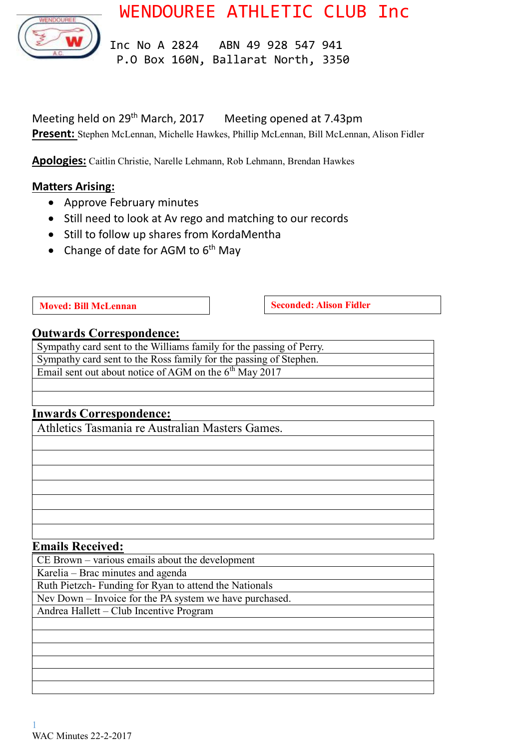WENDOUREE ATHLETIC CLUB Inc



 Inc No A 2824 ABN 49 928 547 941 P.O Box 160N, Ballarat North, 3350

Meeting held on 29th March, 2017 Meeting opened at 7.43pm **Present:** Stephen McLennan, Michelle Hawkes, Phillip McLennan, Bill McLennan, Alison Fidler

**Apologies:** Caitlin Christie, Narelle Lehmann, Rob Lehmann, Brendan Hawkes

## **Matters Arising:**

- Approve February minutes
- Still need to look at Av rego and matching to our records
- Still to follow up shares from KordaMentha
- Change of date for AGM to  $6<sup>th</sup>$  May

**Moved:** Bill McLennan **Seconded:** Alison Fidler

#### **Outwards Correspondence:**

Sympathy card sent to the Williams family for the passing of Perry. Sympathy card sent to the Ross family for the passing of Stephen. Email sent out about notice of AGM on the  $6<sup>th</sup>$  May 2017

# **Inwards Correspondence:**

Athletics Tasmania re Australian Masters Games.

#### **Emails Received:**

CE Brown – various emails about the development Karelia – Brac minutes and agenda Ruth Pietzch- Funding for Ryan to attend the Nationals Nev Down – Invoice for the PA system we have purchased. Andrea Hallett – Club Incentive Program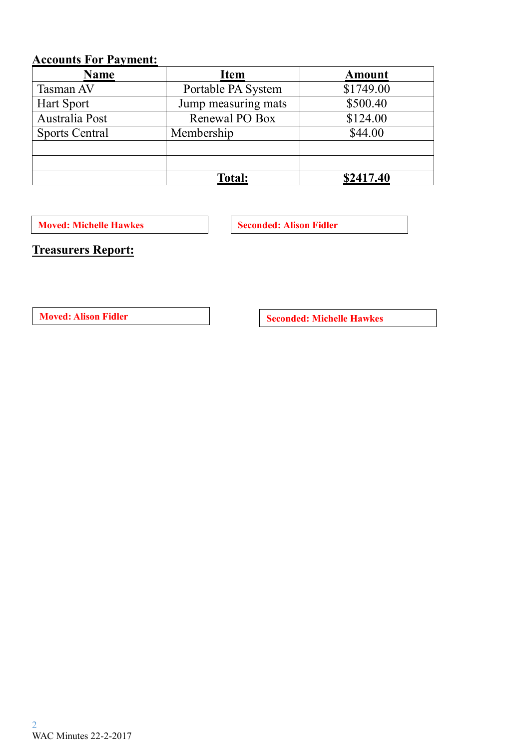# **Accounts For Payment:**

| <b>Name</b>           | <b>Item</b>         | <b>Amount</b> |
|-----------------------|---------------------|---------------|
| Tasman AV             | Portable PA System  | \$1749.00     |
| Hart Sport            | Jump measuring mats | \$500.40      |
| Australia Post        | Renewal PO Box      | \$124.00      |
| <b>Sports Central</b> | Membership          | \$44.00       |
|                       |                     |               |
|                       |                     |               |
|                       | <b>Total:</b>       | \$2417.40     |

**Moved: Michelle Hawkes Seconded: Alison Fidler** 

**Treasurers Report:**

**Moved:** Alison Fidler **Seconded:** Michelle Hawkes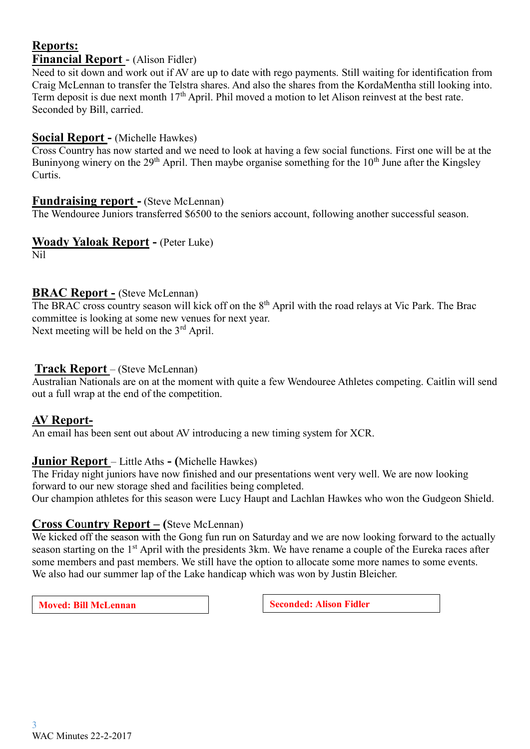## **Reports: Financial Report** - (Alison Fidler)

Need to sit down and work out if AV are up to date with rego payments. Still waiting for identification from Craig McLennan to transfer the Telstra shares. And also the shares from the KordaMentha still looking into. Term deposit is due next month 17<sup>th</sup> April. Phil moved a motion to let Alison reinvest at the best rate. Seconded by Bill, carried.

## **Social Report -** (Michelle Hawkes)

Cross Country has now started and we need to look at having a few social functions. First one will be at the Buninyong winery on the 29<sup>th</sup> April. Then maybe organise something for the 10<sup>th</sup> June after the Kingsley Curtis.

## **Fundraising report -** (Steve McLennan)

The Wendouree Juniors transferred \$6500 to the seniors account, following another successful season.

## **Woady Yaloak Report -** (Peter Luke)

Nil

## **BRAC Report -** (Steve McLennan)

The BRAC cross country season will kick off on the 8<sup>th</sup> April with the road relays at Vic Park. The Brac committee is looking at some new venues for next year. Next meeting will be held on the  $3<sup>rd</sup>$  April.

## **Track Report** – (Steve McLennan)

Australian Nationals are on at the moment with quite a few Wendouree Athletes competing. Caitlin will send out a full wrap at the end of the competition.

# **AV Report-**

An email has been sent out about AV introducing a new timing system for XCR.

#### **Junior Report** – Little Aths **- (**Michelle Hawkes)

The Friday night juniors have now finished and our presentations went very well. We are now looking forward to our new storage shed and facilities being completed.

Our champion athletes for this season were Lucy Haupt and Lachlan Hawkes who won the Gudgeon Shield.

# **Cross Co**u**ntry Report – (**Steve McLennan)

We kicked off the season with the Gong fun run on Saturday and we are now looking forward to the actually season starting on the 1<sup>st</sup> April with the presidents 3km. We have rename a couple of the Eureka races after some members and past members. We still have the option to allocate some more names to some events. We also had our summer lap of the Lake handicap which was won by Justin Bleicher.

**Moved:** Bill McLennan **Seconded:** Alison Fidler